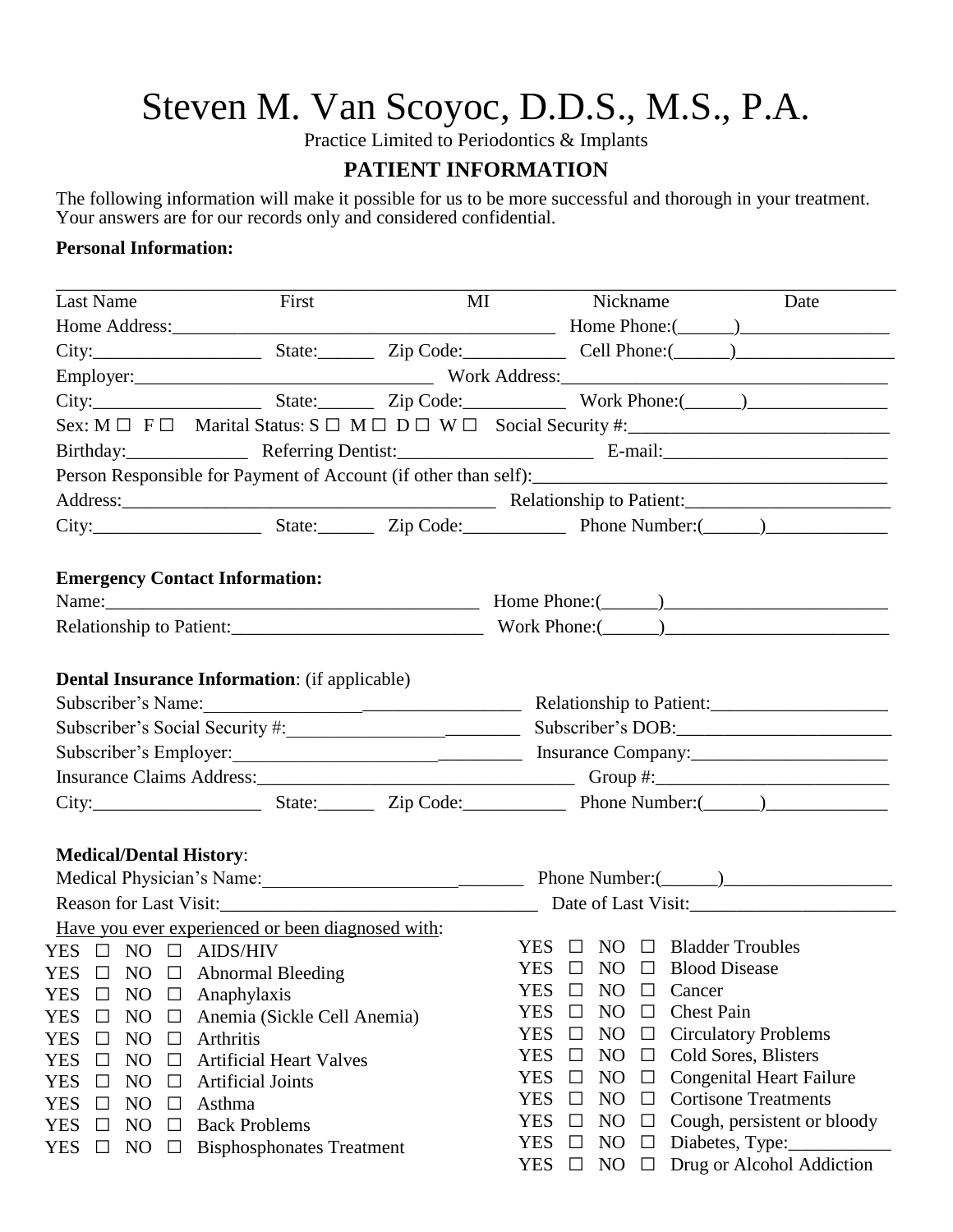## Steven M. Van Scoyoc, D.D.S., M.S., P.A.

Practice Limited to Periodontics & Implants

## **PATIENT INFORMATION**

The following information will make it possible for us to be more successful and thorough in your treatment. Your answers are for our records only and considered confidential.

## **Personal Information:**

| Last Name                                              | First<br>MI                      |                                              |                                                                     | Nickname                 | Date                                                                                  |  |  |  |  |
|--------------------------------------------------------|----------------------------------|----------------------------------------------|---------------------------------------------------------------------|--------------------------|---------------------------------------------------------------------------------------|--|--|--|--|
|                                                        |                                  |                                              |                                                                     |                          |                                                                                       |  |  |  |  |
|                                                        |                                  |                                              |                                                                     |                          |                                                                                       |  |  |  |  |
|                                                        |                                  |                                              |                                                                     |                          |                                                                                       |  |  |  |  |
|                                                        |                                  |                                              |                                                                     |                          |                                                                                       |  |  |  |  |
|                                                        |                                  |                                              |                                                                     |                          | Sex: $M \Box F \Box$ Marital Status: $S \Box M \Box D \Box W \Box$ Social Security #: |  |  |  |  |
|                                                        |                                  | Birthday: Referring Dentist: E-mail: E-mail: |                                                                     |                          |                                                                                       |  |  |  |  |
|                                                        |                                  |                                              |                                                                     |                          |                                                                                       |  |  |  |  |
|                                                        |                                  |                                              |                                                                     |                          |                                                                                       |  |  |  |  |
|                                                        |                                  |                                              |                                                                     |                          |                                                                                       |  |  |  |  |
|                                                        |                                  |                                              |                                                                     |                          |                                                                                       |  |  |  |  |
| <b>Emergency Contact Information:</b>                  |                                  |                                              |                                                                     |                          |                                                                                       |  |  |  |  |
|                                                        |                                  |                                              |                                                                     |                          |                                                                                       |  |  |  |  |
|                                                        |                                  |                                              |                                                                     |                          |                                                                                       |  |  |  |  |
|                                                        |                                  |                                              |                                                                     |                          |                                                                                       |  |  |  |  |
| <b>Dental Insurance Information:</b> (if applicable)   |                                  |                                              |                                                                     |                          |                                                                                       |  |  |  |  |
| Subscriber's Name:                                     |                                  |                                              | Relationship to Patient:                                            |                          |                                                                                       |  |  |  |  |
|                                                        |                                  |                                              | Subscriber's DOB:                                                   |                          |                                                                                       |  |  |  |  |
|                                                        |                                  |                                              |                                                                     |                          |                                                                                       |  |  |  |  |
|                                                        |                                  |                                              |                                                                     |                          |                                                                                       |  |  |  |  |
|                                                        |                                  |                                              |                                                                     |                          |                                                                                       |  |  |  |  |
| <b>Medical/Dental History:</b>                         |                                  |                                              |                                                                     |                          |                                                                                       |  |  |  |  |
|                                                        |                                  |                                              | Medical Physician's Name: Phone Number: Phone Number: (Campaigneer) |                          |                                                                                       |  |  |  |  |
|                                                        |                                  |                                              | Reason for Last Visit:<br><u>Date of Last Visit:</u>                |                          |                                                                                       |  |  |  |  |
| Have you ever experienced or been diagnosed with:      |                                  |                                              |                                                                     |                          |                                                                                       |  |  |  |  |
| YES $\Box$ NO $\Box$ AIDS/HIV                          |                                  |                                              |                                                                     |                          | YES $\Box$ NO $\Box$ Bladder Troubles                                                 |  |  |  |  |
| $YES \quad \Box \quad NO \quad \Box$ Abnormal Bleeding |                                  |                                              |                                                                     |                          | $YES \Box NO \Box Blood Disease$                                                      |  |  |  |  |
| YES<br>NO<br>$\Box$<br>$\Box$                          | Anaphylaxis                      |                                              | <b>YES</b><br>$\Box$                                                | N <sub>O</sub><br>$\Box$ | Cancer                                                                                |  |  |  |  |
| <b>YES</b><br>N <sub>O</sub><br>$\Box$<br>$\Box$       | Anemia (Sickle Cell Anemia)      |                                              | <b>YES</b><br>$\Box$                                                | N <sub>O</sub><br>$\Box$ | <b>Chest Pain</b>                                                                     |  |  |  |  |
| <b>YES</b><br>NO<br>$\Box$<br>$\Box$                   | Arthritis                        |                                              | <b>YES</b><br>$\Box$                                                | N <sub>O</sub><br>$\Box$ | <b>Circulatory Problems</b>                                                           |  |  |  |  |
| YES<br>N <sub>O</sub><br>$\Box$<br>Ш                   | <b>Artificial Heart Valves</b>   |                                              | <b>YES</b><br>$\Box$                                                | N <sub>O</sub><br>$\Box$ | Cold Sores, Blisters                                                                  |  |  |  |  |
| <b>YES</b><br>$\Box$<br>N <sub>O</sub><br>$\Box$       | <b>Artificial Joints</b>         |                                              | <b>YES</b><br>$\Box$                                                | N <sub>O</sub><br>$\Box$ | <b>Congenital Heart Failure</b>                                                       |  |  |  |  |
| <b>YES</b><br>$NO$<br>$\Box$<br>$\Box$                 | Asthma                           |                                              | <b>YES</b><br>$\Box$                                                | N <sub>O</sub><br>$\Box$ | <b>Cortisone Treatments</b>                                                           |  |  |  |  |
| NO<br><b>YES</b><br>$\Box$<br>⊔                        | <b>Back Problems</b>             |                                              | <b>YES</b><br>$\Box$                                                | N <sub>O</sub><br>$\Box$ | Cough, persistent or bloody                                                           |  |  |  |  |
| <b>YES</b><br>NO<br>$\Box$<br>$\Box$                   | <b>Bisphosphonates Treatment</b> |                                              | <b>YES</b><br>$\Box$                                                | N <sub>O</sub><br>$\Box$ | Diabetes, Type:                                                                       |  |  |  |  |
|                                                        |                                  |                                              | YES<br>$\Box$                                                       | NO<br>$\Box$             | Drug or Alcohol Addiction                                                             |  |  |  |  |